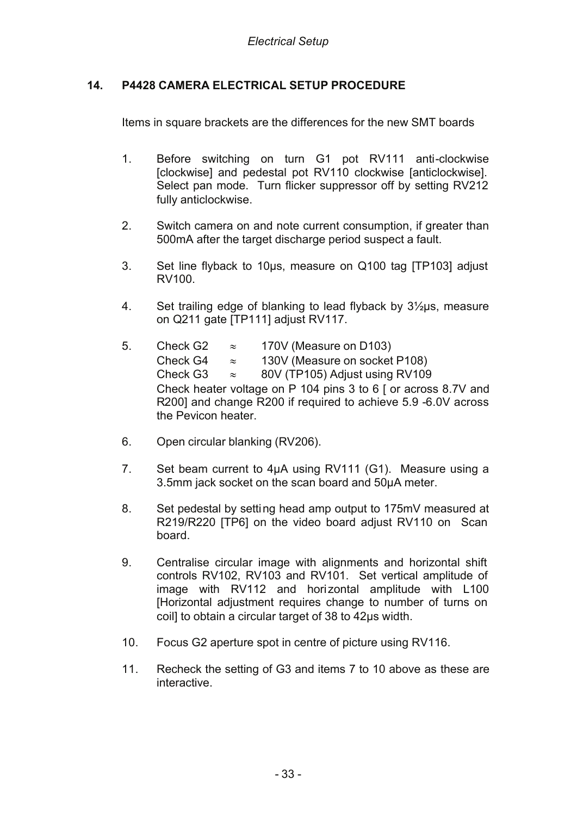## **14. P4428 CAMERA ELECTRICAL SETUP PROCEDURE**

Items in square brackets are the differences for the new SMT boards

- 1. Before switching on turn G1 pot RV111 anti-clockwise [clockwise] and pedestal pot RV110 clockwise [anticlockwise]. Select pan mode. Turn flicker suppressor off by setting RV212 fully anticlockwise.
- 2. Switch camera on and note current consumption, if greater than 500mA after the target discharge period suspect a fault.
- 3. Set line flyback to 10µs, measure on Q100 tag [TP103] adjust RV100.
- 4. Set trailing edge of blanking to lead flyback by 3½µs, measure on Q211 gate [TP111] adjust RV117.
- 5. Check G2  $\approx$  170V (Measure on D103) Check G4  $\approx$  130V (Measure on socket P108) Check G3  $\approx$  80V (TP105) Adjust using RV109 Check heater voltage on P 104 pins 3 to 6 [ or across 8.7V and R200] and change R200 if required to achieve 5.9 -6.0V across the Pevicon heater.
- 6. Open circular blanking (RV206).
- 7. Set beam current to 4µA using RV111 (G1). Measure using a 3.5mm jack socket on the scan board and 50µA meter.
- 8. Set pedestal by setting head amp output to 175mV measured at R219/R220 [TP6] on the video board adjust RV110 on Scan board.
- 9. Centralise circular image with alignments and horizontal shift controls RV102, RV103 and RV101. Set vertical amplitude of image with RV112 and horizontal amplitude with L100 [Horizontal adjustment requires change to number of turns on coil] to obtain a circular target of 38 to 42µs width.
- 10. Focus G2 aperture spot in centre of picture using RV116.
- 11. Recheck the setting of G3 and items 7 to 10 above as these are interactive.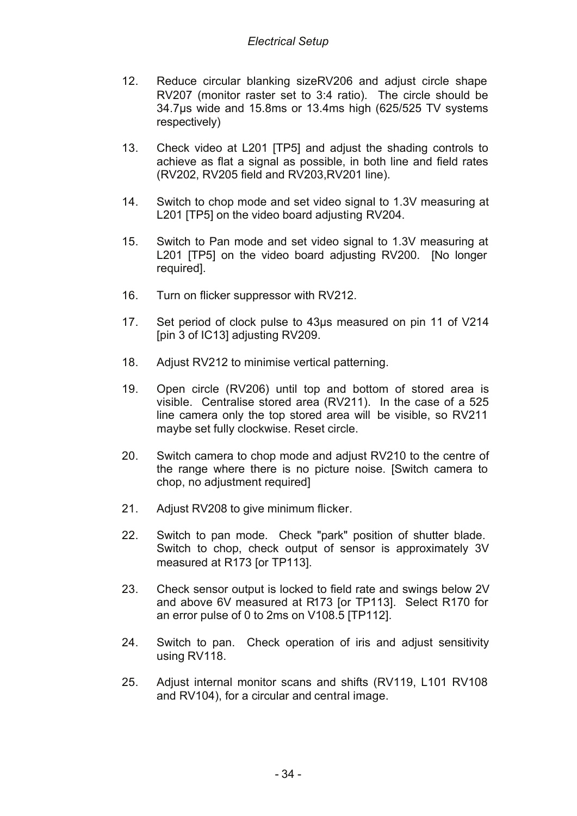- 12. Reduce circular blanking sizeRV206 and adjust circle shape RV207 (monitor raster set to 3:4 ratio). The circle should be 34.7µs wide and 15.8ms or 13.4ms high (625/525 TV systems respectively)
- 13. Check video at L201 [TP5] and adjust the shading controls to achieve as flat a signal as possible, in both line and field rates (RV202, RV205 field and RV203,RV201 line).
- 14. Switch to chop mode and set video signal to 1.3V measuring at L201 [TP5] on the video board adjusting RV204.
- 15. Switch to Pan mode and set video signal to 1.3V measuring at L201 [TP5] on the video board adjusting RV200. [No longer required].
- 16. Turn on flicker suppressor with RV212.
- 17. Set period of clock pulse to 43µs measured on pin 11 of V214 [pin 3 of IC13] adjusting RV209.
- 18. Adjust RV212 to minimise vertical patterning.
- 19. Open circle (RV206) until top and bottom of stored area is visible. Centralise stored area (RV211). In the case of a 525 line camera only the top stored area will be visible, so RV211 maybe set fully clockwise. Reset circle.
- 20. Switch camera to chop mode and adjust RV210 to the centre of the range where there is no picture noise. [Switch camera to chop, no adjustment required]
- 21. Adjust RV208 to give minimum flicker.
- 22. Switch to pan mode. Check "park" position of shutter blade. Switch to chop, check output of sensor is approximately 3V measured at R173 [or TP113].
- 23. Check sensor output is locked to field rate and swings below 2V and above 6V measured at R173 [or TP113]. Select R170 for an error pulse of 0 to 2ms on V108.5 [TP112].
- 24. Switch to pan. Check operation of iris and adjust sensitivity using RV118.
- 25. Adjust internal monitor scans and shifts (RV119, L101 RV108 and RV104), for a circular and central image.